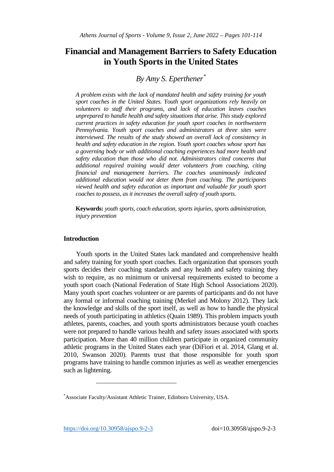# **Financial and Management Barriers to Safety Education in Youth Sports in the United States**

## *By Amy S. Eperthener[\\*](#page-0-0)*

*A problem exists with the lack of mandated health and safety training for youth sport coaches in the United States. Youth sport organizations rely heavily on volunteers to staff their programs, and lack of education leaves coaches unprepared to handle health and safety situations that arise. This study explored current practices in safety education for youth sport coaches in northwestern Pennsylvania. Youth sport coaches and administrators at three sites were interviewed. The results of the study showed an overall lack of consistency in health and safety education in the region. Youth sport coaches whose sport has a governing body or with additional coaching experiences had more health and safety education than those who did not. Administrators cited concerns that additional required training would deter volunteers from coaching, citing financial and management barriers. The coaches unanimously indicated additional education would not deter them from coaching. The participants viewed health and safety education as important and valuable for youth sport coaches to possess, as it increases the overall safety of youth sports.* 

**Keywords:** *youth sports, coach education, sports injuries, sports administration, injury prevention* 

## **Introduction**

Youth sports in the United States lack mandated and comprehensive health and safety training for youth sport coaches. Each organization that sponsors youth sports decides their coaching standards and any health and safety training they wish to require, as no minimum or universal requirements existed to become a youth sport coach (National Federation of State High School Associations 2020). Many youth sport coaches volunteer or are parents of participants and do not have any formal or informal coaching training (Merkel and Molony 2012). They lack the knowledge and skills of the sport itself, as well as how to handle the physical needs of youth participating in athletics (Quain 1989). This problem impacts youth athletes, parents, coaches, and youth sports administrators because youth coaches were not prepared to handle various health and safety issues associated with sports participation. More than 40 million children participate in organized community athletic programs in the United States each year (DiFiori et al. 2014, Glang et al. 2010, Swanson 2020). Parents trust that those responsible for youth sport programs have training to handle common injuries as well as weather emergencies such as lightening.

<https://doi.org/10.30958/ajspo.9-2-3>doi=10.30958/ajspo.9-2-3

<u>.</u>

<span id="page-0-0"></span><sup>\*</sup> Associate Faculty/Assistant Athletic Trainer, Edinboro University, USA.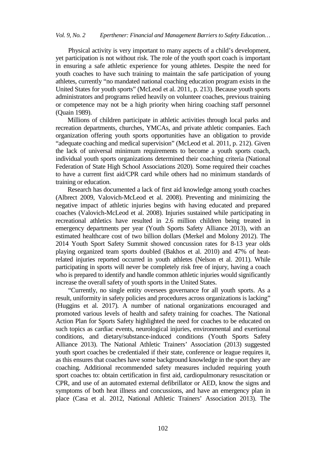Physical activity is very important to many aspects of a child's development, yet participation is not without risk. The role of the youth sport coach is important in ensuring a safe athletic experience for young athletes. Despite the need for youth coaches to have such training to maintain the safe participation of young athletes, currently "no mandated national coaching education program exists in the United States for youth sports" (McLeod et al. 2011, p. 213). Because youth sports administrators and programs relied heavily on volunteer coaches, previous training or competence may not be a high priority when hiring coaching staff personnel (Quain 1989).

Millions of children participate in athletic activities through local parks and recreation departments, churches, YMCAs, and private athletic companies. Each organization offering youth sports opportunities have an obligation to provide "adequate coaching and medical supervision" (McLeod et al. 2011, p. 212). Given the lack of universal minimum requirements to become a youth sports coach, individual youth sports organizations determined their coaching criteria (National Federation of State High School Associations 2020). Some required their coaches to have a current first aid/CPR card while others had no minimum standards of training or education.

Research has documented a lack of first aid knowledge among youth coaches (Albrect 2009, Valovich-McLeod et al. 2008). Preventing and minimizing the negative impact of athletic injuries begins with having educated and prepared coaches (Valovich-McLeod et al. 2008). Injuries sustained while participating in recreational athletics have resulted in 2.6 million children being treated in emergency departments per year (Youth Sports Safety Alliance 2013), with an estimated healthcare cost of two billion dollars (Merkel and Molony 2012). The 2014 Youth Sport Safety Summit showed concussion rates for 8-13 year olds playing organized team sports doubled (Bakhos et al. 2010) and 47% of heatrelated injuries reported occurred in youth athletes (Nelson et al. 2011). While participating in sports will never be completely risk free of injury, having a coach who is prepared to identify and handle common athletic injuries would significantly increase the overall safety of youth sports in the United States.

"Currently, no single entity oversees governance for all youth sports. As a result, uniformity in safety policies and procedures across organizations is lacking" (Huggins et al. 2017). A number of national organizations encouraged and promoted various levels of health and safety training for coaches. The National Action Plan for Sports Safety highlighted the need for coaches to be educated on such topics as cardiac events, neurological injuries, environmental and exertional conditions, and dietary/substance-induced conditions (Youth Sports Safety Alliance 2013). The National Athletic Trainers' Association (2013) suggested youth sport coaches be credentialed if their state, conference or league requires it, as this ensures that coaches have some background knowledge in the sport they are coaching. Additional recommended safety measures included requiring youth sport coaches to: obtain certification in first aid, cardiopulmonary resuscitation or CPR, and use of an automated external defibrillator or AED, know the signs and symptoms of both heat illness and concussions, and have an emergency plan in place (Casa et al. 2012, National Athletic Trainers' Association 2013). The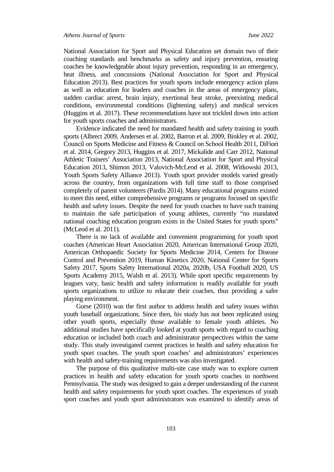National Association for Sport and Physical Education set domain two of their coaching standards and benchmarks as safety and injury prevention, ensuring coaches be knowledgeable about injury prevention, responding in an emergency, heat illness, and concussions (National Association for Sport and Physical Education 2013). Best practices for youth sports include emergency action plans as well as education for leaders and coaches in the areas of emergency plans, sudden cardiac arrest, brain injury, exertional heat stroke, preexisting medical conditions, environmental conditions (lightening safety) and medical services (Huggins et al. 2017). These recommendations have not trickled down into action for youth sports coaches and administrators.

Evidence indicated the need for mandated health and safety training in youth sports (Albrect 2009, Andersen et al. 2002, Barron et al. 2009, Binkley et al. 2002, Council on Sports Medicine and Fitness & Council on School Health 2011, DiFiori et al. 2014, Gregory 2013, Huggins et al. 2017, Mickalide and Carr 2012, National Athletic Trainers' Association 2013, National Association for Sport and Physical Education 2013, Shimon 2013, Valovich-McLeod et al. 2008, Witkowski 2013, Youth Sports Safety Alliance 2013). Youth sport provider models varied greatly across the country, from organizations with full time staff to those comprised completely of parent volunteers (Pardis 2014). Many educational programs existed to meet this need, either comprehensive programs or programs focused on specific health and safety issues. Despite the need for youth coaches to have such training to maintain the safe participation of young athletes, currently "no mandated national coaching education program exists in the United States for youth sports" (McLeod et al. 2011).

There is no lack of available and convenient programming for youth sport coaches (American Heart Association 2020, American International Group 2020, American Orthopaedic Society for Sports Medicine 2014, Centers for Disease Control and Prevention 2019, Human Kinetics 2020, National Center for Sports Safety 2017, Sports Safety International 2020a, 2020b, USA Football 2020, US Sports Academy 2015, Walsh et al. 2013). While sport specific requirements by leagues vary, basic health and safety information is readily available for youth sports organizations to utilize to educate their coaches, thus providing a safer playing environment.

Gorse (2010) was the first author to address health and safety issues within youth baseball organizations. Since then, his study has not been replicated using other youth sports, especially those available to female youth athletes. No additional studies have specifically looked at youth sports with regard to coaching education or included both coach and administrator perspectives within the same study. This study investigated current practices in health and safety education for youth sport coaches. The youth sport coaches' and administrators' experiences with health and safety-training requirements was also investigated.

The purpose of this qualitative multi-site case study was to explore current practices in health and safety education for youth sports coaches in northwest Pennsylvania. The study was designed to gain a deeper understanding of the current health and safety requirements for youth sport coaches. The experiences of youth sport coaches and youth sport administrators was examined to identify areas of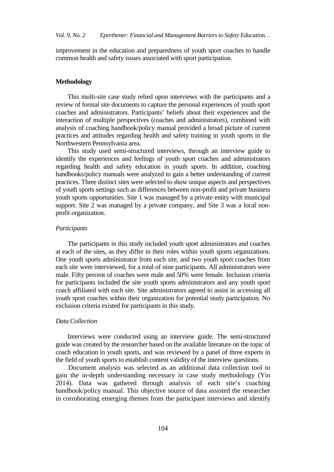improvement in the education and preparedness of youth sport coaches to handle common health and safety issues associated with sport participation.

#### **Methodology**

This multi-site case study relied upon interviews with the participants and a review of formal site documents to capture the personal experiences of youth sport coaches and administrators. Participants' beliefs about their experiences and the interaction of multiple perspectives (coaches and administrators), combined with analysis of coaching handbook/policy manual provided a broad picture of current practices and attitudes regarding health and safety training in youth sports in the Northwestern Pennsylvania area.

This study used semi-structured interviews, through an interview guide to identify the experiences and feelings of youth sport coaches and administrators regarding health and safety education in youth sports. In addition, coaching handbooks/policy manuals were analyzed to gain a better understanding of current practices. Three distinct sites were selected to show unique aspects and perspectives of youth sports settings such as differences between non-profit and private business youth sports opportunities. Site 1 was managed by a private entity with municipal support. Site 2 was managed by a private company, and Site 3 was a local nonprofit organization.

#### *Participants*

The participants in this study included youth sport administrators and coaches at each of the sites, as they differ in their roles within youth sports organizations. One youth sports administrator from each site, and two youth sport coaches from each site were interviewed, for a total of nine participants. All administrators were male. Fifty percent of coaches were male and 50% were female. Inclusion criteria for participants included the site youth sports administrators and any youth sport coach affiliated with each site. Site administrators agreed to assist in accessing all youth sport coaches within their organization for potential study participation. No exclusion criteria existed for participants in this study.

#### *Data Collection*

Interviews were conducted using an interview guide. The semi-structured guide was created by the researcher based on the available literature on the topic of coach education in youth sports, and was reviewed by a panel of three experts in the field of youth sports to establish content validity of the interview questions.

Document analysis was selected as an additional data collection tool to gain the in-depth understanding necessary in case study methodology (Yin 2014). Data was gathered through analysis of each site's coaching handbook/policy manual. This objective source of data assisted the researcher in corroborating emerging themes from the participant interviews and identify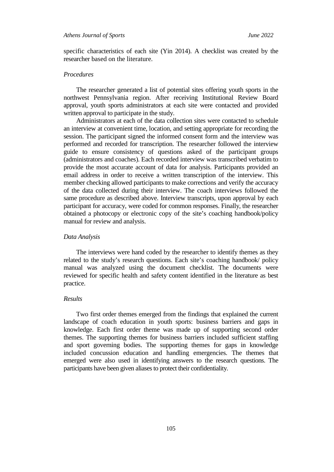specific characteristics of each site (Yin 2014). A checklist was created by the researcher based on the literature.

## *Procedures*

The researcher generated a list of potential sites offering youth sports in the northwest Pennsylvania region. After receiving Institutional Review Board approval, youth sports administrators at each site were contacted and provided written approval to participate in the study.

Administrators at each of the data collection sites were contacted to schedule an interview at convenient time, location, and setting appropriate for recording the session. The participant signed the informed consent form and the interview was performed and recorded for transcription. The researcher followed the interview guide to ensure consistency of questions asked of the participant groups (administrators and coaches). Each recorded interview was transcribed verbatim to provide the most accurate account of data for analysis. Participants provided an email address in order to receive a written transcription of the interview. This member checking allowed participants to make corrections and verify the accuracy of the data collected during their interview. The coach interviews followed the same procedure as described above. Interview transcripts, upon approval by each participant for accuracy, were coded for common responses. Finally, the researcher obtained a photocopy or electronic copy of the site's coaching handbook/policy manual for review and analysis.

#### *Data Analysis*

The interviews were hand coded by the researcher to identify themes as they related to the study's research questions. Each site's coaching handbook/ policy manual was analyzed using the document checklist. The documents were reviewed for specific health and safety content identified in the literature as best practice.

## *Results*

Two first order themes emerged from the findings that explained the current landscape of coach education in youth sports: business barriers and gaps in knowledge. Each first order theme was made up of supporting second order themes. The supporting themes for business barriers included sufficient staffing and sport governing bodies. The supporting themes for gaps in knowledge included concussion education and handling emergencies. The themes that emerged were also used in identifying answers to the research questions. The participants have been given aliases to protect their confidentiality.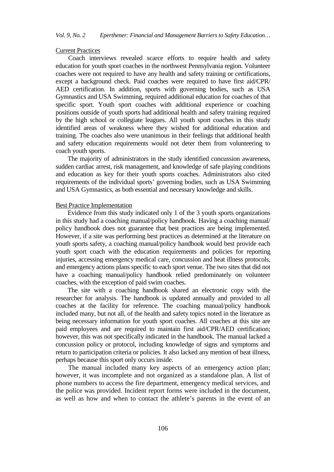#### Current Practices

Coach interviews revealed scarce efforts to require health and safety education for youth sport coaches in the northwest Pennsylvania region. Volunteer coaches were not required to have any health and safety training or certifications, except a background check. Paid coaches were required to have first aid/CPR/ AED certification. In addition, sports with governing bodies, such as USA Gymnastics and USA Swimming, required additional education for coaches of that specific sport. Youth sport coaches with additional experience or coaching positions outside of youth sports had additional health and safety training required by the high school or collegiate leagues. All youth sport coaches in this study identified areas of weakness where they wished for additional education and training. The coaches also were unanimous in their feelings that additional health and safety education requirements would not deter them from volunteering to coach youth sports.

The majority of administrators in the study identified concussion awareness, sudden cardiac arrest, risk management, and knowledge of safe playing conditions and education as key for their youth sports coaches. Administrators also cited requirements of the individual sports' governing bodies, such as USA Swimming and USA Gymnastics, as both essential and necessary knowledge and skills.

## Best Practice Implementation

Evidence from this study indicated only 1 of the 3 youth sports organizations in this study had a coaching manual/policy handbook. Having a coaching manual/ policy handbook does not guarantee that best practices are being implemented. However, if a site was performing best practices as determined at the literature on youth sports safety, a coaching manual/policy handbook would best provide each youth sport coach with the education requirements and policies for reporting injuries, accessing emergency medical care, concussion and heat illness protocols, and emergency actions plans specific to each sport venue. The two sites that did not have a coaching manual/policy handbook relied predominately on volunteer coaches, with the exception of paid swim coaches.

The site with a coaching handbook shared an electronic copy with the researcher for analysis. The handbook is updated annually and provided to all coaches at the facility for reference. The coaching manual/policy handbook included many, but not all, of the health and safety topics noted in the literature as being necessary information for youth sport coaches. All coaches at this site are paid employees and are required to maintain first aid/CPR/AED certification; however, this was not specifically indicated in the handbook. The manual lacked a concussion policy or protocol, including knowledge of signs and symptoms and return to participation criteria or policies. It also lacked any mention of heat illness, perhaps because this sport only occurs inside.

The manual included many key aspects of an emergency action plan; however, it was incomplete and not organized as a standalone plan. A list of phone numbers to access the fire department, emergency medical services, and the police was provided. Incident report forms were included in the document, as well as how and when to contact the athlete's parents in the event of an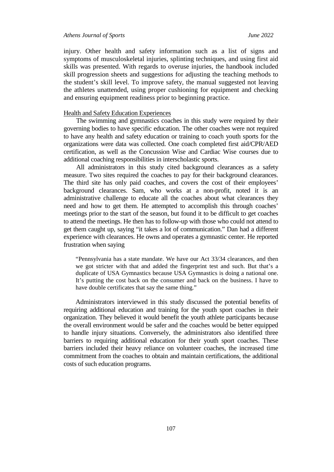injury. Other health and safety information such as a list of signs and symptoms of musculoskeletal injuries, splinting techniques, and using first aid skills was presented. With regards to overuse injuries, the handbook included skill progression sheets and suggestions for adjusting the teaching methods to the student's skill level. To improve safety, the manual suggested not leaving the athletes unattended, using proper cushioning for equipment and checking and ensuring equipment readiness prior to beginning practice.

### Health and Safety Education Experiences

The swimming and gymnastics coaches in this study were required by their governing bodies to have specific education. The other coaches were not required to have any health and safety education or training to coach youth sports for the organizations were data was collected. One coach completed first aid/CPR/AED certification, as well as the Concussion Wise and Cardiac Wise courses due to additional coaching responsibilities in interscholastic sports.

All administrators in this study cited background clearances as a safety measure. Two sites required the coaches to pay for their background clearances. The third site has only paid coaches, and covers the cost of their employees' background clearances. Sam, who works at a non-profit, noted it is an administrative challenge to educate all the coaches about what clearances they need and how to get them. He attempted to accomplish this through coaches' meetings prior to the start of the season, but found it to be difficult to get coaches to attend the meetings. He then has to follow-up with those who could not attend to get them caught up, saying "it takes a lot of communication." Dan had a different experience with clearances. He owns and operates a gymnastic center. He reported frustration when saying

"Pennsylvania has a state mandate. We have our Act 33/34 clearances, and then we got stricter with that and added the fingerprint test and such. But that's a duplicate of USA Gymnastics because USA Gymnastics is doing a national one. It's putting the cost back on the consumer and back on the business. I have to have double certificates that say the same thing."

Administrators interviewed in this study discussed the potential benefits of requiring additional education and training for the youth sport coaches in their organization. They believed it would benefit the youth athlete participants because the overall environment would be safer and the coaches would be better equipped to handle injury situations. Conversely, the administrators also identified three barriers to requiring additional education for their youth sport coaches. These barriers included their heavy reliance on volunteer coaches, the increased time commitment from the coaches to obtain and maintain certifications, the additional costs of such education programs.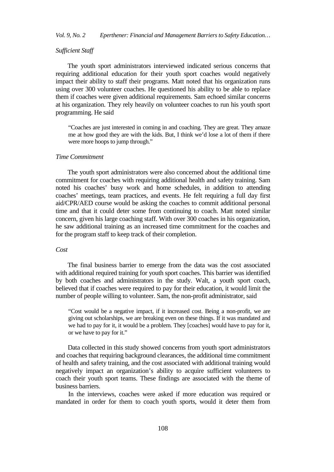## *Sufficient Staff*

The youth sport administrators interviewed indicated serious concerns that requiring additional education for their youth sport coaches would negatively impact their ability to staff their programs. Matt noted that his organization runs using over 300 volunteer coaches. He questioned his ability to be able to replace them if coaches were given additional requirements. Sam echoed similar concerns at his organization. They rely heavily on volunteer coaches to run his youth sport programming. He said

"Coaches are just interested in coming in and coaching. They are great. They amaze me at how good they are with the kids. But, I think we'd lose a lot of them if there were more hoops to jump through."

## *Time Commitment*

The youth sport administrators were also concerned about the additional time commitment for coaches with requiring additional health and safety training. Sam noted his coaches' busy work and home schedules, in addition to attending coaches' meetings, team practices, and events. He felt requiring a full day first aid/CPR/AED course would be asking the coaches to commit additional personal time and that it could deter some from continuing to coach. Matt noted similar concern, given his large coaching staff. With over 300 coaches in his organization, he saw additional training as an increased time commitment for the coaches and for the program staff to keep track of their completion.

## *Cost*

The final business barrier to emerge from the data was the cost associated with additional required training for youth sport coaches. This barrier was identified by both coaches and administrators in the study. Walt, a youth sport coach, believed that if coaches were required to pay for their education, it would limit the number of people willing to volunteer. Sam, the non-profit administrator, said

"Cost would be a negative impact, if it increased cost. Being a non-profit, we are giving out scholarships, we are breaking even on these things. If it was mandated and we had to pay for it, it would be a problem. They [coaches] would have to pay for it, or we have to pay for it."

Data collected in this study showed concerns from youth sport administrators and coaches that requiring background clearances, the additional time commitment of health and safety training, and the cost associated with additional training would negatively impact an organization's ability to acquire sufficient volunteers to coach their youth sport teams. These findings are associated with the theme of business barriers.

In the interviews, coaches were asked if more education was required or mandated in order for them to coach youth sports, would it deter them from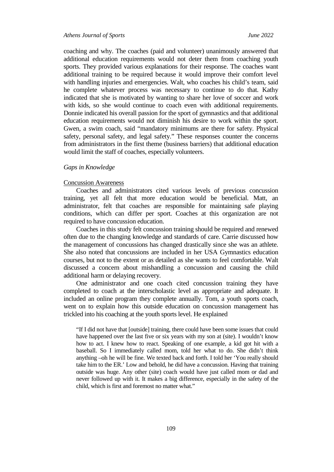coaching and why. The coaches (paid and volunteer) unanimously answered that additional education requirements would not deter them from coaching youth sports. They provided various explanations for their response. The coaches want additional training to be required because it would improve their comfort level with handling injuries and emergencies. Walt, who coaches his child's team, said he complete whatever process was necessary to continue to do that. Kathy indicated that she is motivated by wanting to share her love of soccer and work with kids, so she would continue to coach even with additional requirements. Donnie indicated his overall passion for the sport of gymnastics and that additional education requirements would not diminish his desire to work within the sport. Gwen, a swim coach, said "mandatory minimums are there for safety. Physical safety, personal safety, and legal safety." These responses counter the concerns from administrators in the first theme (business barriers) that additional education would limit the staff of coaches, especially volunteers.

#### *Gaps in Knowledge*

## Concussion Awareness

Coaches and administrators cited various levels of previous concussion training, yet all felt that more education would be beneficial. Matt, an administrator, felt that coaches are responsible for maintaining safe playing conditions, which can differ per sport. Coaches at this organization are not required to have concussion education.

Coaches in this study felt concussion training should be required and renewed often due to the changing knowledge and standards of care. Carrie discussed how the management of concussions has changed drastically since she was an athlete. She also noted that concussions are included in her USA Gymnastics education courses, but not to the extent or as detailed as she wants to feel comfortable. Walt discussed a concern about mishandling a concussion and causing the child additional harm or delaying recovery.

One administrator and one coach cited concussion training they have completed to coach at the interscholastic level as appropriate and adequate. It included an online program they complete annually. Tom, a youth sports coach, went on to explain how this outside education on concussion management has trickled into his coaching at the youth sports level. He explained

"If I did not have that [outside] training, there could have been some issues that could have happened over the last five or six years with my son at (site). I wouldn't know how to act. I knew how to react. Speaking of one example, a kid got hit with a baseball. So I immediately called mom, told her what to do. She didn't think anything –oh he will be fine. We texted back and forth. I told her 'You really should take him to the ER.' Low and behold, he did have a concussion. Having that training outside was huge. Any other (site) coach would have just called mom or dad and never followed up with it. It makes a big difference, especially in the safety of the child, which is first and foremost no matter what."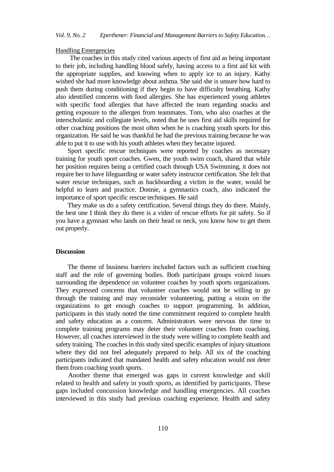#### Handling Emergencies

The coaches in this study cited various aspects of first aid as being important to their job, including handling blood safely, having access to a first aid kit with the appropriate supplies, and knowing when to apply ice to an injury. Kathy wished she had more knowledge about asthma. She said she is unsure how hard to push them during conditioning if they begin to have difficulty breathing. Kathy also identified concerns with food allergies. She has experienced young athletes with specific food allergies that have affected the team regarding snacks and getting exposure to the allergen from teammates. Tom, who also coaches at the interscholastic and collegiate levels, noted that he uses first aid skills required for other coaching positions the most often when he is coaching youth sports for this organization. He said he was thankful he had the previous training because he was able to put it to use with his youth athletes when they became injured.

Sport specific rescue techniques were reported by coaches as necessary training for youth sport coaches. Gwen, the youth swim coach, shared that while her position requires being a certified coach through USA Swimming, it does not require her to have lifeguarding or water safety instructor certification. She felt that water rescue techniques, such as backboarding a victim in the water, would be helpful to learn and practice. Donnie, a gymnastics coach, also indicated the importance of sport specific rescue techniques. He said

They make us do a safety certification. Several things they do there. Mainly, the best one I think they do there is a video of rescue efforts for pit safety. So if you have a gymnast who lands on their head or neck, you know how to get them out properly.

#### **Discussion**

The theme of business barriers included factors such as sufficient coaching staff and the role of governing bodies. Both participant groups voiced issues surrounding the dependence on volunteer coaches by youth sports organizations. They expressed concerns that volunteer coaches would not be willing to go through the training and may reconsider volunteering, putting a strain on the organizations to get enough coaches to support programming. In addition, participants in this study noted the time commitment required to complete health and safety education as a concern. Administrators were nervous the time to complete training programs may deter their volunteer coaches from coaching. However, all coaches interviewed in the study were willing to complete health and safety training. The coaches in this study sited specific examples of injury situations where they did not feel adequately prepared to help. All six of the coaching participants indicated that mandated health and safety education would not deter them from coaching youth sports.

Another theme that emerged was gaps in current knowledge and skill related to health and safety in youth sports, as identified by participants. These gaps included concussion knowledge and handling emergencies. All coaches interviewed in this study had previous coaching experience. Health and safety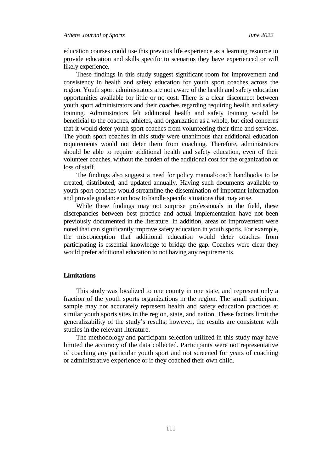education courses could use this previous life experience as a learning resource to provide education and skills specific to scenarios they have experienced or will likely experience.

These findings in this study suggest significant room for improvement and consistency in health and safety education for youth sport coaches across the region. Youth sport administrators are not aware of the health and safety education opportunities available for little or no cost. There is a clear disconnect between youth sport administrators and their coaches regarding requiring health and safety training. Administrators felt additional health and safety training would be beneficial to the coaches, athletes, and organization as a whole, but cited concerns that it would deter youth sport coaches from volunteering their time and services. The youth sport coaches in this study were unanimous that additional education requirements would not deter them from coaching. Therefore, administrators should be able to require additional health and safety education, even of their volunteer coaches, without the burden of the additional cost for the organization or loss of staff.

The findings also suggest a need for policy manual/coach handbooks to be created, distributed, and updated annually. Having such documents available to youth sport coaches would streamline the dissemination of important information and provide guidance on how to handle specific situations that may arise.

While these findings may not surprise professionals in the field, these discrepancies between best practice and actual implementation have not been previously documented in the literature. In addition, areas of improvement were noted that can significantly improve safety education in youth sports. For example, the misconception that additional education would deter coaches from participating is essential knowledge to bridge the gap. Coaches were clear they would prefer additional education to not having any requirements.

## **Limitations**

This study was localized to one county in one state, and represent only a fraction of the youth sports organizations in the region. The small participant sample may not accurately represent health and safety education practices at similar youth sports sites in the region, state, and nation. These factors limit the generalizability of the study's results; however, the results are consistent with studies in the relevant literature.

The methodology and participant selection utilized in this study may have limited the accuracy of the data collected. Participants were not representative of coaching any particular youth sport and not screened for years of coaching or administrative experience or if they coached their own child.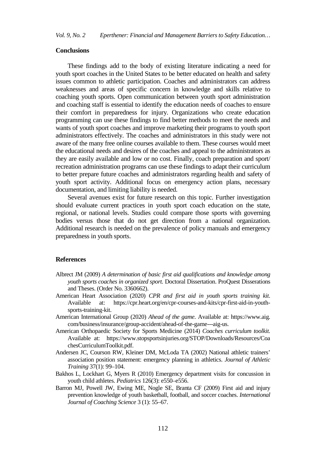#### **Conclusions**

These findings add to the body of existing literature indicating a need for youth sport coaches in the United States to be better educated on health and safety issues common to athletic participation. Coaches and administrators can address weaknesses and areas of specific concern in knowledge and skills relative to coaching youth sports. Open communication between youth sport administration and coaching staff is essential to identify the education needs of coaches to ensure their comfort in preparedness for injury. Organizations who create education programming can use these findings to find better methods to meet the needs and wants of youth sport coaches and improve marketing their programs to youth sport administrators effectively. The coaches and administrators in this study were not aware of the many free online courses available to them. These courses would meet the educational needs and desires of the coaches and appeal to the administrators as they are easily available and low or no cost. Finally, coach preparation and sport/ recreation administration programs can use these findings to adapt their curriculum to better prepare future coaches and administrators regarding health and safety of youth sport activity. Additional focus on emergency action plans, necessary documentation, and limiting liability is needed.

Several avenues exist for future research on this topic. Further investigation should evaluate current practices in youth sport coach education on the state, regional, or national levels. Studies could compare those sports with governing bodies versus those that do not get direction from a national organization. Additional research is needed on the prevalence of policy manuals and emergency preparedness in youth sports.

#### **References**

- Albrect JM (2009) *A determination of basic first aid qualifications and knowledge among youth sports coaches in organized sport.* Doctoral Dissertation. ProQuest Disserations and Theses. (Order No. 3360662).
- American Heart Association (2020) *CPR and first aid in youth sports training kit*. Available at: [https://cpr.heart.org/en/cpr-courses-and-kits/cpr-first-aid-in-youth](https://cpr.heart.org/en/cpr-courses-and-kits/cpr-first-aid-in-youth-sports-training-kit)[sports-training-kit.](https://cpr.heart.org/en/cpr-courses-and-kits/cpr-first-aid-in-youth-sports-training-kit)
- American International Group (2020) *Ahead of the game*. Available at: https://www.aig. com/business/insurance/group-accident/ahead-of-the-game---aig-us.
- American Orthopaedic Society for Sports Medicine (2014) *Coaches curriculum toolkit.* Available at: https://www.stopsportsinjuries.org/STOP/Downloads/Resources/Coa chesCurriculumToolkit.pdf.
- Andersen JC, Courson RW, Kleiner DM, McLoda TA (2002) National athletic trainers' association position statement: emergency planning in athletics. *Journal of Athletic Training* 37(1): 99–104.
- Bakhos L, Lockhart G, Myers R (2010) Emergency department visits for concussion in youth child athletes. *Pediatrics* 126(3): e550–e556.
- Barron MJ, Powell JW, Ewing ME, Nogle SE, Branta CF (2009) First aid and injury prevention knowledge of youth basketball, football, and soccer coaches. *International Journal of Coaching Science* 3 (1): 55–67.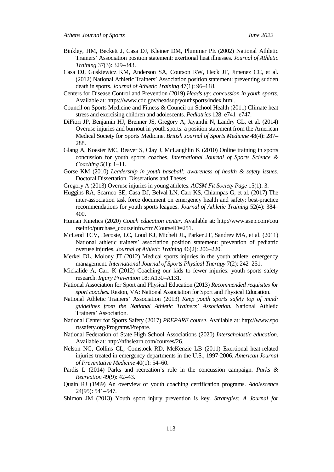- Binkley, HM, Beckett J, Casa DJ, Kleiner DM, Plummer PE (2002) National Athletic Trainers' Association position statement: exertional heat illnesses. *Journal of Athletic Training* 37(3): 329–343.
- Casa DJ, Guskiewicz KM, Anderson SA, Courson RW, Heck JF, Jimenez CC, et al. (2012) National Athletic Trainers' Association position statement: preventing sudden death in sports. *Journal of Athletic Training* 47(1): 96–118.
- Centers for Disease Control and Prevention (2019) *Heads up: concussion in youth sports*. Available at[: https://www.cdc.gov/headsup/youthsports/index.html.](https://www.cdc.gov/headsup/youthsports/index.html)
- Council on Sports Medicine and Fitness & Council on School Health (2011) Climate heat stress and exercising children and adolescents. *Pediatrics* 128: e741–e747.
- DiFiori JP, Benjamin HJ, Brenner JS, Gregory A, Jayanthi N, Landry GL, et al. (2014) Overuse injuries and burnout in youth sports: a position statement from the American Medical Society for Sports Medicine. *British Journal of Sports Medicine* 48(4): 287– 288.
- Glang A, Koester MC, Beaver S, Clay J, McLaughlin K (2010) Online training in sports concussion for youth sports coaches. *International Journal of Sports Science & Coaching* 5(1): 1–11.
- Gorse KM (2010) *Leadership in youth baseball: awareness of health & safety issues.*  Doctoral Dissertation. Disserations and Theses.
- Gregory A (2013) Overuse injuries in young athletes. *ACSM Fit Society Page* 15(1): 3.
- Huggins RA, Scarneo SE, Casa DJ, Belval LN, Carr KS, Chiampas G, et al. (2017) The inter-association task force document on emergency health and safety: best-practice recommendations for youth sports leagues. *Journal of Athletic Training* 52(4): 384– 400.
- Human Kinetics (2020) *Coach education center*. Available at: http://www.asep.com/cou rseInfo/purchase\_courseinfo.cfm?CourseID=251.
- McLeod TCV, Decoste, LC, Loud KJ, Micheli JL, Parker JT, Sandrev MA, et al. (2011) National athletic trainers' association position statement: prevention of pediatric overuse injuries. *Journal of Athletic Training* 46(2): 206–220.
- Merkel DL, Molony JT (2012) Medical sports injuries in the youth athlete: emergency management. *International Journal of Sports Physical Therapy* 7(2): 242–251.
- Mickalide A, Carr K (2012) Coaching our kids to fewer injuries: youth sports safety research. *Injury Prevention* 18: A130–A131.
- National Association for Sport and Physical Education (2013) *Recommended requisites for sport coaches.* Reston, VA: National Association for Sport and Physical Education.
- National Athletic Trainers' Association (2013) *Keep youth sports safety top of mind: guidelines from the National Athletic Trainers' Association*. National Athletic Trainers' Association.
- National Center for Sports Safety (2017) *PREPARE course*. Available at: [http://www.](http://www/)spo rtssafety.org/Programs/Prepare.
- National Federation of State High School Associations (2020) *Interscholastic education*. Available at: http://nfhslearn.com/courses/26.
- Nelson NG, Collins CL, Comstock RD, McKenzie LB (2011) Exertional heat-related injuries treated in emergency departments in the U.S., 1997-2006. *American Journal of Preventative Medicine* 40(1): 54–60.
- Pardis L (2014) Parks and recreation's role in the concussion campaign. *Parks & Recreation* 49(9): 42–43.
- Quain RJ (1989) An overview of youth coaching certification programs. *Adolescence*  24(95): 541–547.
- Shimon JM (2013) Youth sport injury prevention is key. *Strategies: A Journal for*